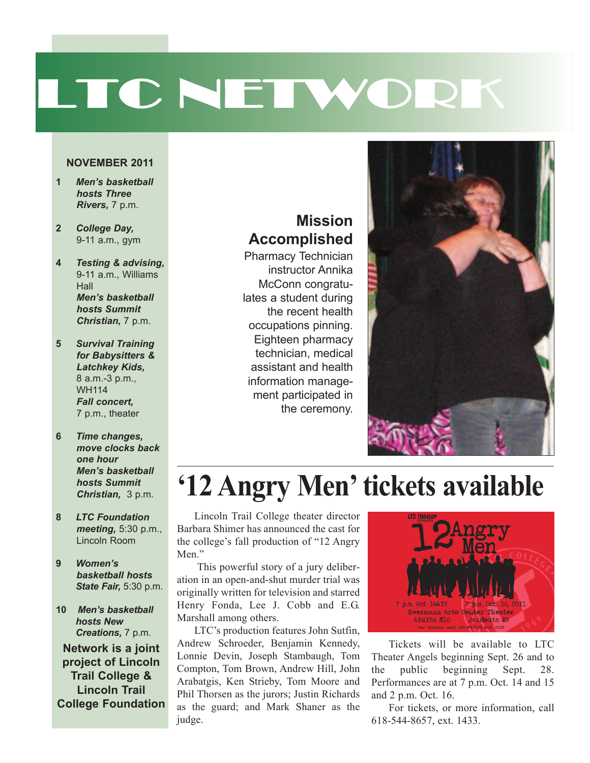# LTC NETWORK

#### **NOVEMBER 2011**

- **1** *Men's basketball hosts Three Rivers,* 7 p.m.
- **2** *College Day,* 9-11 a.m., gym
- **4** *Testing & advising,* 9-11 a.m., Williams **Hall** *Men's basketball hosts Summit Christian,* 7 p.m.
- **5** *Survival Training for Babysitters & Latchkey Kids,* 8 a.m.-3 p.m., WH114 *Fall concert,* 7 p.m., theater
- **6** *Time changes, move clocks back one hour Men's basketball hosts Summit Christian,* 3 p.m.
- **8** *LTC Foundation meeting,* 5:30 p.m., Lincoln Room
- **9** *Women's basketball hosts State Fair,* 5:30 p.m.
- **10** *Men's basketball hosts New Creations,* 7 p.m.

**Network is a joint project of Lincoln Trail College & Lincoln Trail College Foundation**

#### **Mission Accomplished**

Pharmacy Technician instructor Annika McConn congratulates a student during the recent health occupations pinning. Eighteen pharmacy technician, medical assistant and health information management participated in the ceremony.



# **'12 Angry Men'tickets available**

Lincoln Trail College theater director Barbara Shimer has announced the cast for the college's fall production of "12 Angry Men."

This powerful story of a jury deliberation in an open-and-shut murder trial was originally written for television and starred Henry Fonda, Lee J. Cobb and E.G. Marshall among others.

LTC's production features John Sutfin, Andrew Schroeder, Benjamin Kennedy, Lonnie Devin, Joseph Stambaugh, Tom Compton, Tom Brown, Andrew Hill, John Arabatgis, Ken Strieby, Tom Moore and Phil Thorsen as the jurors; Justin Richards as the guard; and Mark Shaner as the judge.



Tickets will be available to LTC Theater Angels beginning Sept. 26 and to the public beginning Sept. 28. Performances are at 7 p.m. Oct. 14 and 15 and 2 p.m. Oct. 16.

For tickets, or more information, call 618-544-8657, ext. 1433.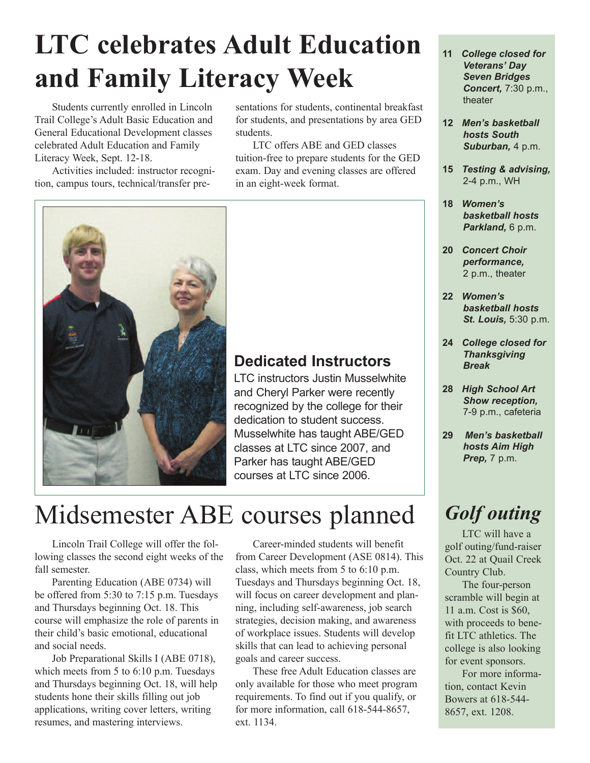# **LTC celebrates Adult Education and Family Literacy Week**

Students currently enrolled in Lincoln Trail College's Adult Basic Education and General Educational Development classes celebrated Adult Education and Family Literacy Week, Sept. 12-18.

Activities included: instructor recognition, campus tours, technical/transfer presentations for students, continental breakfast for students, and presentations by area GED students.

LTC offers ABE and GED classes tuition-free to prepare students for the GED exam. Day and evening classes are offered in an eight-week format.



### **Dedicated Instructors**

LTC instructors Justin Musselwhite and Cheryl Parker were recently recognized by the college for their dedication to student success. Musselwhite has taught ABE/GED classes at LTC since 2007, and Parker has taught ABE/GED courses at LTC since 2006.

### Midsemester ABE courses planned

Lincoln Trail College will offer the following classes the second eight weeks of the fall semester.

Parenting Education (ABE 0734) will be offered from 5:30 to 7:15 p.m. Tuesdays and Thursdays beginning Oct. 18. This course will emphasize the role of parents in their child's basic emotional, educational and social needs.

Job Preparational Skills I (ABE 0718), which meets from 5 to 6:10 p.m. Tuesdays and Thursdays beginning Oct. 18, will help students hone their skills filling out job applications, writing cover letters, writing resumes, and mastering interviews.

Career-minded students will benefit from Career Development (ASE 0814). This class, which meets from 5 to 6:10 p.m. Tuesdays and Thursdays beginning Oct. 18, will focus on career development and planning, including self-awareness, job search strategies, decision making, and awareness of workplace issues. Students will develop skills that can lead to achieving personal goals and career success.

These free Adult Education classes are only available for those who meet program requirements. To find out if you qualify, or for more information, call 618-544-8657, ext. 1134.

- **11** *College closed for Veterans' Day Seven Bridges Concert,* 7:30 p.m., theater
- **12** *Men's basketball hosts South Suburban,* 4 p.m.
- **15** *Testing & advising,* 2-4 p.m., WH
- **18** *Women's basketball hosts Parkland,* 6 p.m.
- **20** *Concert Choir performance,* 2 p.m., theater
- **22** *Women's basketball hosts St. Louis,* 5:30 p.m.
- **24** *College closed for Thanksgiving Break*
- **28** *High School Art Show reception,* 7-9 p.m., cafeteria
- **29** *Men's basketball hosts Aim High Prep,* 7 p.m.

### *Golf outing*

LTC will have a golf outing/fund-raiser Oct. 22 at Quail Creek Country Club.

The four-person scramble will begin at 11 a.m. Cost is \$60, with proceeds to benefit LTC athletics. The college is also looking for event sponsors.

For more information, contact Kevin Bowers at 618-544- 8657, ext. 1208.